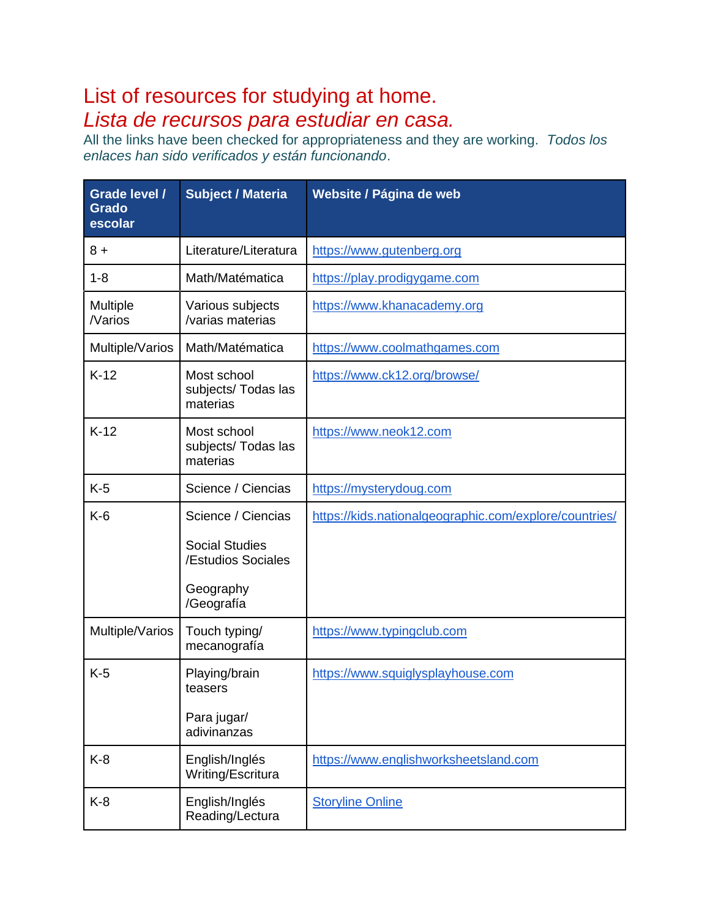## List of resources for studying at home. *Lista de recursos para estudiar en casa.*

All the links have been checked for appropriateness and they are working. *Todos los enlaces han sido verificados y están funcionando*.

| <b>Grade level /</b><br><b>Grado</b><br>escolar | <b>Subject / Materia</b>                       | Website / Página de web                                |  |
|-------------------------------------------------|------------------------------------------------|--------------------------------------------------------|--|
| $8+$                                            | Literature/Literatura                          | https://www.gutenberg.org                              |  |
| $1 - 8$                                         | Math/Matématica                                | https://play.prodigygame.com                           |  |
| Multiple<br>/Varios                             | Various subjects<br>/varias materias           | https://www.khanacademy.org                            |  |
| Multiple/Varios                                 | Math/Matématica                                | https://www.coolmathgames.com                          |  |
| $K-12$                                          | Most school<br>subjects/ Todas las<br>materias | https://www.ck12.org/browse/                           |  |
| $K-12$                                          | Most school<br>subjects/ Todas las<br>materias | https://www.neok12.com                                 |  |
| $K-5$                                           | Science / Ciencias                             | https://mysterydoug.com                                |  |
| $K-6$                                           | Science / Ciencias                             | https://kids.nationalgeographic.com/explore/countries/ |  |
|                                                 | <b>Social Studies</b><br>/Estudios Sociales    |                                                        |  |
|                                                 | Geography<br>/Geografía                        |                                                        |  |
| Multiple/Varios                                 | Touch typing/<br>mecanografía                  | https://www.typingclub.com                             |  |
| $K-5$                                           | Playing/brain<br>teasers                       | https://www.squiglysplayhouse.com                      |  |
|                                                 | Para jugar/<br>adivinanzas                     |                                                        |  |
| $K-8$                                           | English/Inglés<br>Writing/Escritura            | https://www.englishworksheetsland.com                  |  |
| K-8                                             | English/Inglés<br>Reading/Lectura              | <b>Storyline Online</b>                                |  |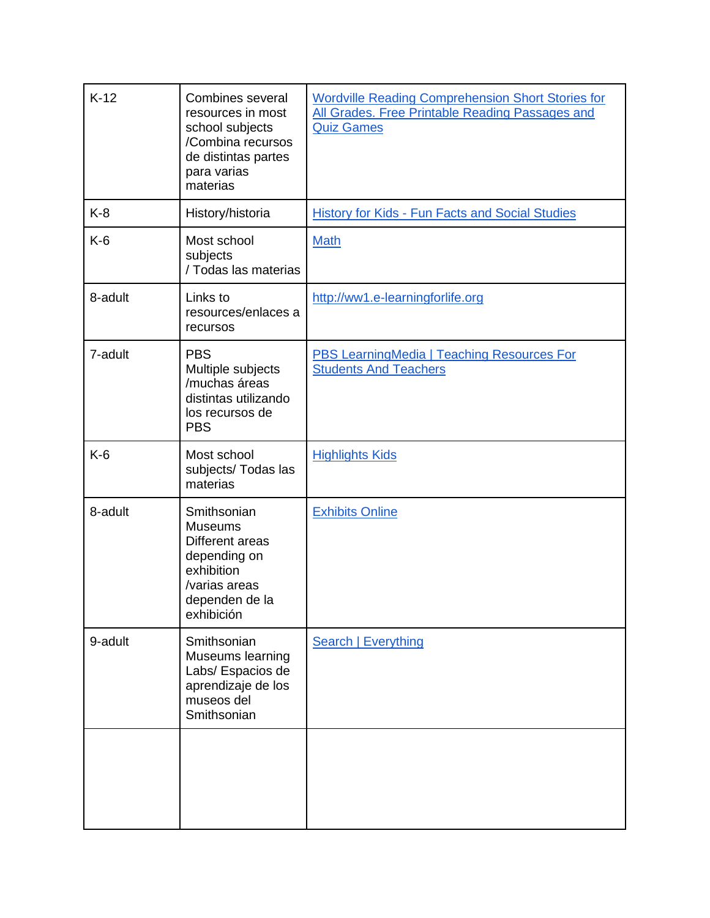| $K-12$  | Combines several<br>resources in most<br>school subjects<br>/Combina recursos<br>de distintas partes<br>para varias<br>materias | <b>Wordville Reading Comprehension Short Stories for</b><br>All Grades. Free Printable Reading Passages and<br><b>Quiz Games</b> |
|---------|---------------------------------------------------------------------------------------------------------------------------------|----------------------------------------------------------------------------------------------------------------------------------|
| $K-8$   | History/historia                                                                                                                | <b>History for Kids - Fun Facts and Social Studies</b>                                                                           |
| $K-6$   | Most school<br>subjects<br>/ Todas las materias                                                                                 | <b>Math</b>                                                                                                                      |
| 8-adult | Links to<br>resources/enlaces a<br>recursos                                                                                     | http://ww1.e-learningforlife.org                                                                                                 |
| 7-adult | <b>PBS</b><br>Multiple subjects<br>/muchas áreas<br>distintas utilizando<br>los recursos de<br><b>PBS</b>                       | <b>PBS LearningMedia   Teaching Resources For</b><br><b>Students And Teachers</b>                                                |
| $K-6$   | Most school<br>subjects/ Todas las<br>materias                                                                                  | <b>Highlights Kids</b>                                                                                                           |
| 8-adult | Smithsonian<br><b>Museums</b><br>Different areas<br>depending on<br>exhibition<br>/varias areas<br>dependen de la<br>exhibición | <b>Exhibits Online</b>                                                                                                           |
| 9-adult | Smithsonian<br>Museums learning<br>Labs/ Espacios de<br>aprendizaje de los<br>museos del<br>Smithsonian                         | <b>Search   Everything</b>                                                                                                       |
|         |                                                                                                                                 |                                                                                                                                  |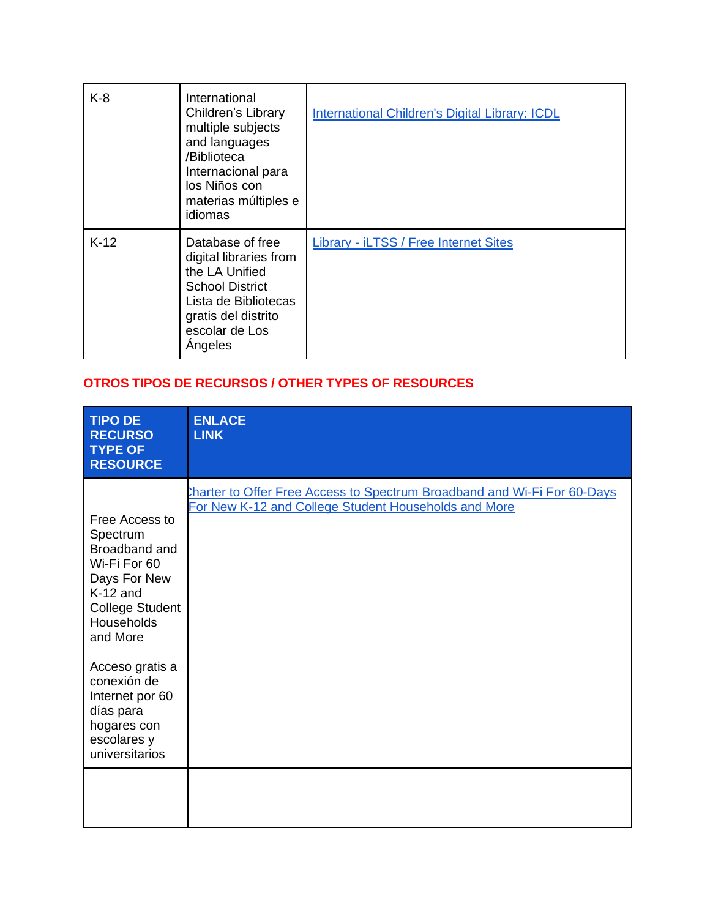| $K-8$  | International<br>Children's Library<br>multiple subjects<br>and languages<br>/Biblioteca<br>Internacional para<br>los Niños con<br>materias múltiples e<br>idiomas | <b>International Children's Digital Library: ICDL</b> |
|--------|--------------------------------------------------------------------------------------------------------------------------------------------------------------------|-------------------------------------------------------|
| $K-12$ | Database of free<br>digital libraries from<br>the LA Unified<br><b>School District</b><br>Lista de Bibliotecas<br>gratis del distrito<br>escolar de Los<br>Angeles | <b>Library - iLTSS / Free Internet Sites</b>          |

## **OTROS TIPOS DE RECURSOS / OTHER TYPES OF RESOURCES**

| <b>TIPO DE</b><br><b>RECURSO</b><br><b>TYPE OF</b><br><b>RESOURCE</b>                                                                                                                                                                                           | <b>ENLACE</b><br><b>LINK</b>                                                                                                     |
|-----------------------------------------------------------------------------------------------------------------------------------------------------------------------------------------------------------------------------------------------------------------|----------------------------------------------------------------------------------------------------------------------------------|
| Free Access to<br>Spectrum<br>Broadband and<br>Wi-Fi For 60<br>Days For New<br>$K-12$ and<br><b>College Student</b><br>Households<br>and More<br>Acceso gratis a<br>conexión de<br>Internet por 60<br>días para<br>hogares con<br>escolares y<br>universitarios | Charter to Offer Free Access to Spectrum Broadband and Wi-Fi For 60-Days<br>For New K-12 and College Student Households and More |
|                                                                                                                                                                                                                                                                 |                                                                                                                                  |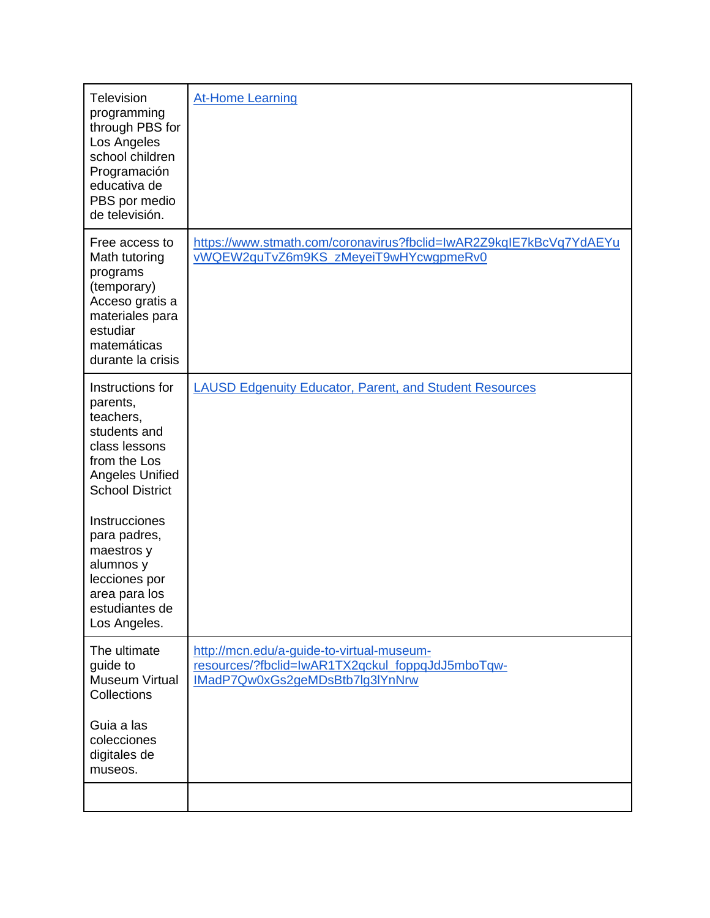| <b>Television</b><br>programming<br>through PBS for<br>Los Angeles<br>school children<br>Programación<br>educativa de<br>PBS por medio<br>de televisión. | <b>At-Home Learning</b>                                                                                                          |
|----------------------------------------------------------------------------------------------------------------------------------------------------------|----------------------------------------------------------------------------------------------------------------------------------|
| Free access to<br>Math tutoring<br>programs<br>(temporary)<br>Acceso gratis a<br>materiales para<br>estudiar<br>matemáticas<br>durante la crisis         | https://www.stmath.com/coronavirus?fbclid=IwAR2Z9kqIE7kBcVq7YdAEYu<br>vWQEW2quTvZ6m9KS_zMeyeiT9wHYcwgpmeRv0                      |
| Instructions for<br>parents,<br>teachers,<br>students and<br>class lessons<br>from the Los<br>Angeles Unified<br><b>School District</b>                  | <b>LAUSD Edgenuity Educator, Parent, and Student Resources</b>                                                                   |
| Instrucciones<br>para padres,<br>maestros y<br>alumnos y<br>lecciones por<br>area para los<br>estudiantes de<br>Los Angeles.                             |                                                                                                                                  |
| The ultimate<br>guide to<br><b>Museum Virtual</b><br>Collections                                                                                         | http://mcn.edu/a-guide-to-virtual-museum-<br>resources/?fbclid=IwAR1TX2qckul_foppqJdJ5mboTqw-<br>IMadP7Qw0xGs2geMDsBtb7lg3lYnNrw |
| Guia a las<br>colecciones<br>digitales de<br>museos.                                                                                                     |                                                                                                                                  |
|                                                                                                                                                          |                                                                                                                                  |